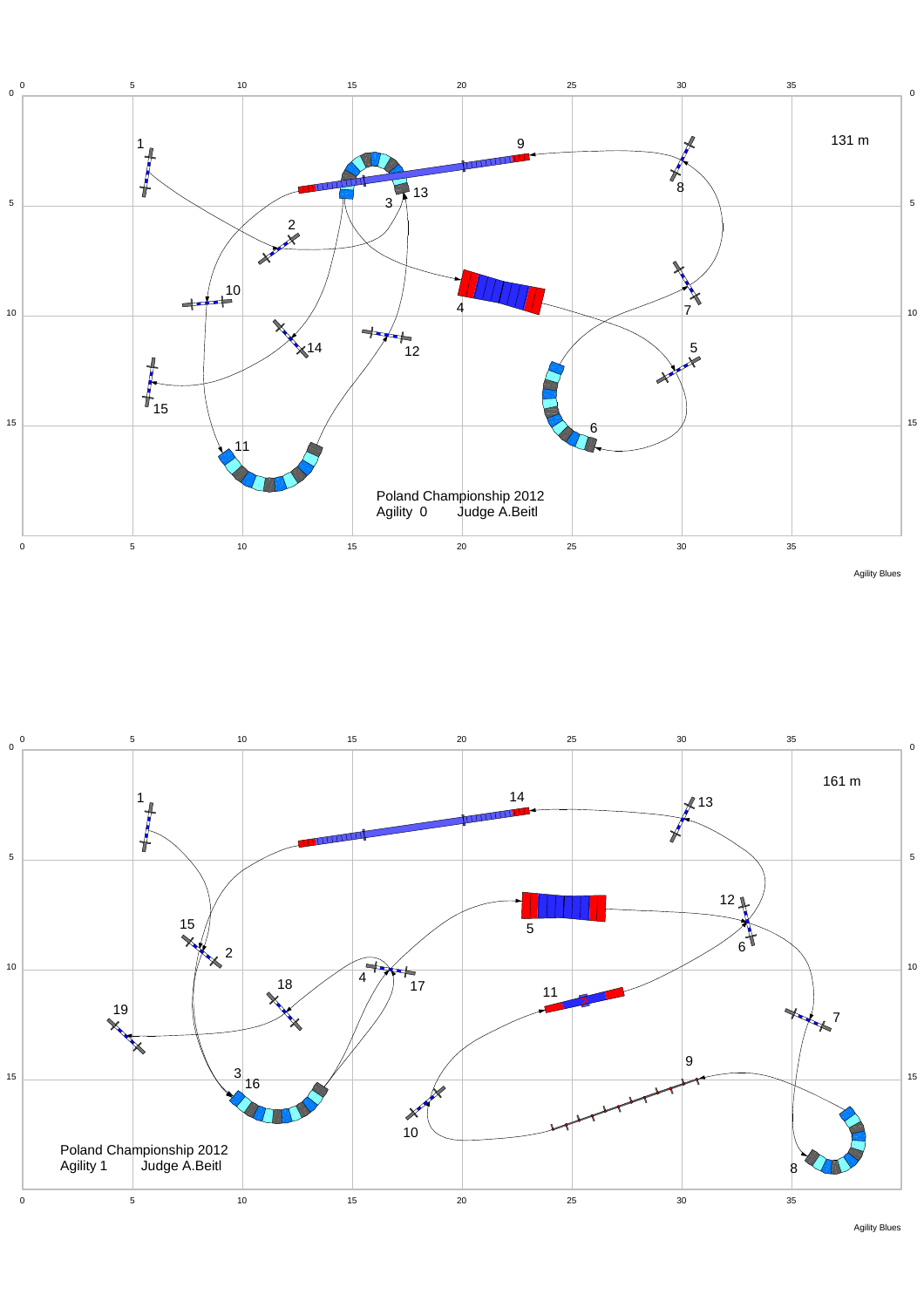

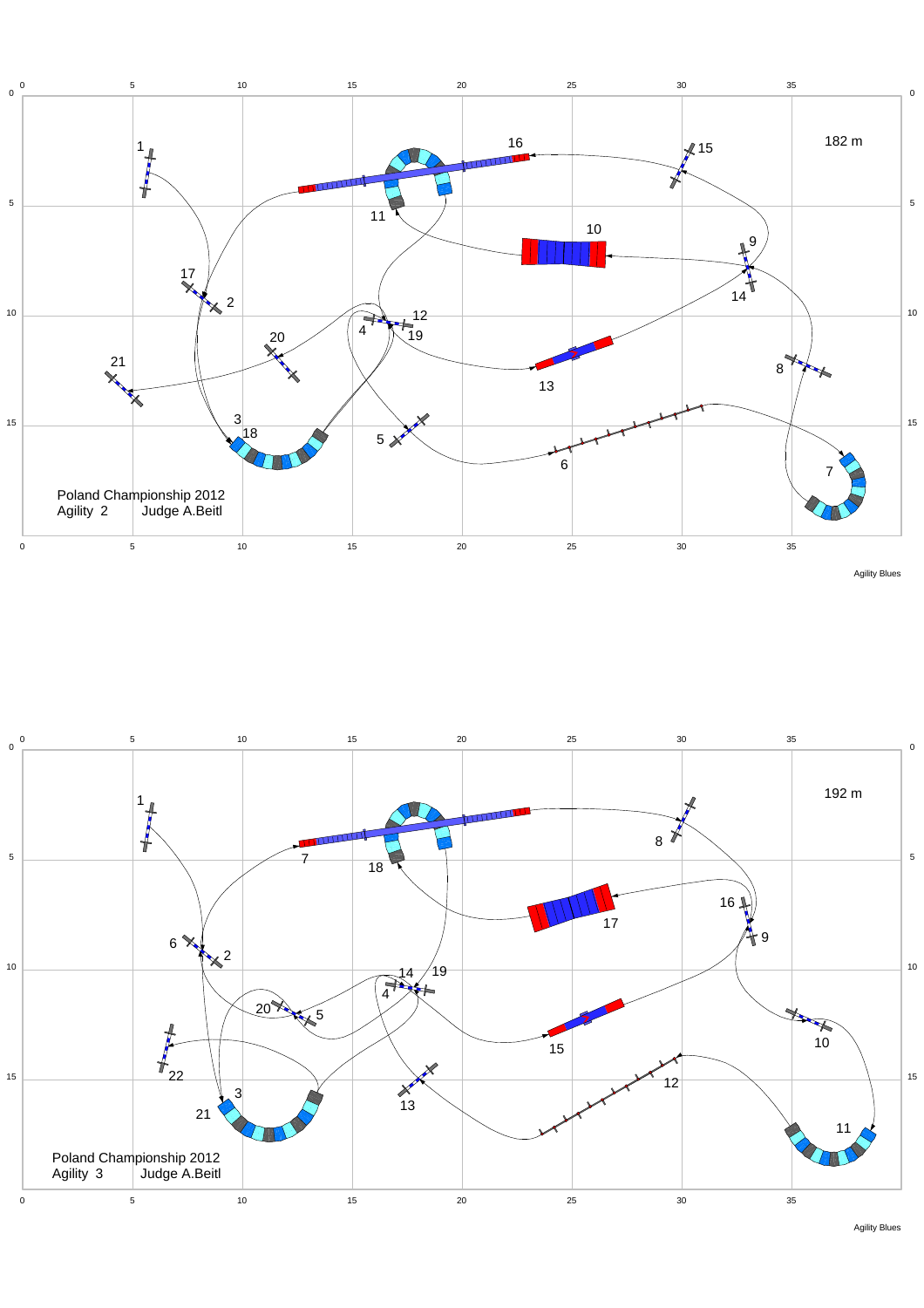



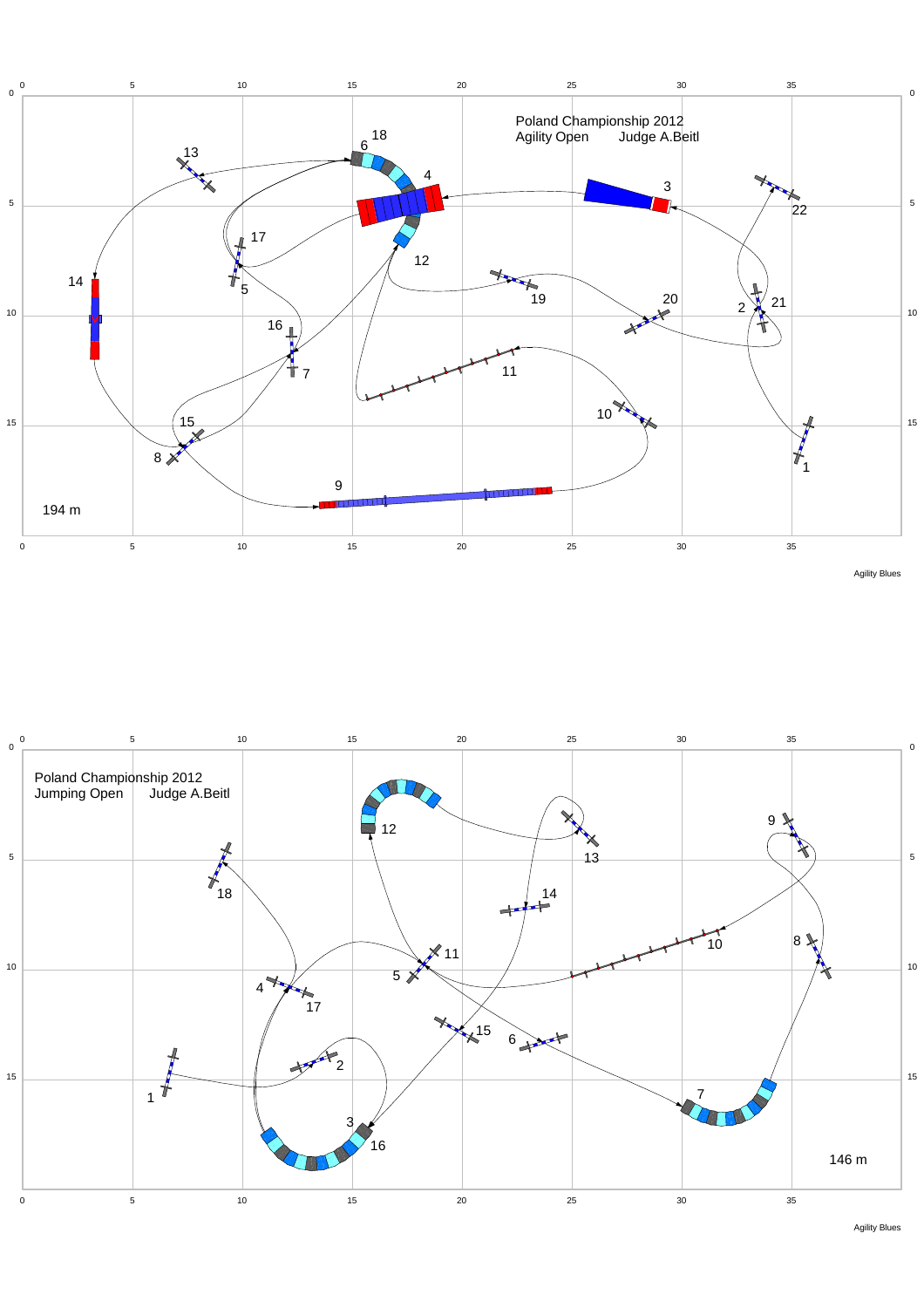